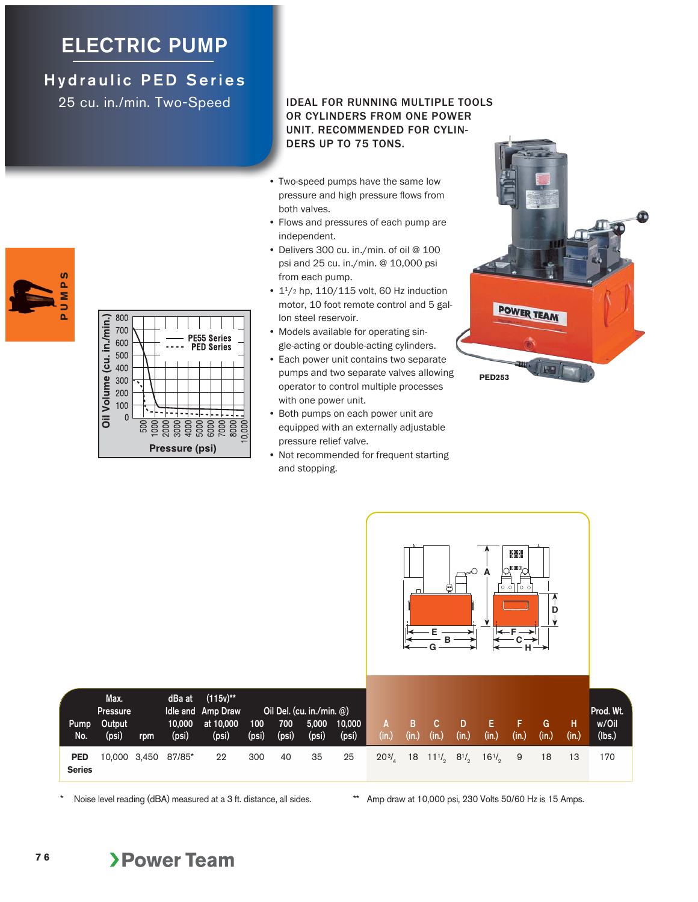## **ELECTRIC PUMP**

## **Hydraulic PED Series**

25 cu. in./min. Two-Speed



| Oil Volume (cu. in /min.) | 800<br>700<br>600<br>500<br>400 |  |                |  | <b>PE55 Series</b><br><b>PED Series</b> |                |  |
|---------------------------|---------------------------------|--|----------------|--|-----------------------------------------|----------------|--|
|                           | 300<br>200<br>100               |  |                |  |                                         |                |  |
|                           |                                 |  | Pressure (psi) |  |                                         | 10,000<br>8000 |  |

## IDEAL FOR RUNNING MULTIPLE TOOLS OR CYLINDERS FROM ONE POWER UNIT. RECOMMENDED FOR CYLIN-DERS UP TO 75 TONS.

- Two-speed pumps have the same low pressure and high pressure flows from both valves.
- Flows and pressures of each pump are independent.
- Delivers 300 cu. in./min. of oil @ 100 psi and 25 cu. in./min. @ 10,000 psi from each pump.
- $1<sup>1</sup>/2$  hp,  $110/115$  volt, 60 Hz induction motor, 10 foot remote control and 5 gallon steel reservoir.
- Models available for operating single-acting or double-acting cylinders.
- Each power unit contains two separate pumps and two separate valves allowing operator to control multiple processes with one power unit.
- Both pumps on each power unit are equipped with an externally adjustable pressure relief valve.
- Not recommended for frequent starting and stopping.





Noise level reading (dBA) measured at a 3 ft. distance, all sides. \*\* Amp draw at 10,000 psi, 230 Volts 50/60 Hz is 15 Amps.

**7 6**